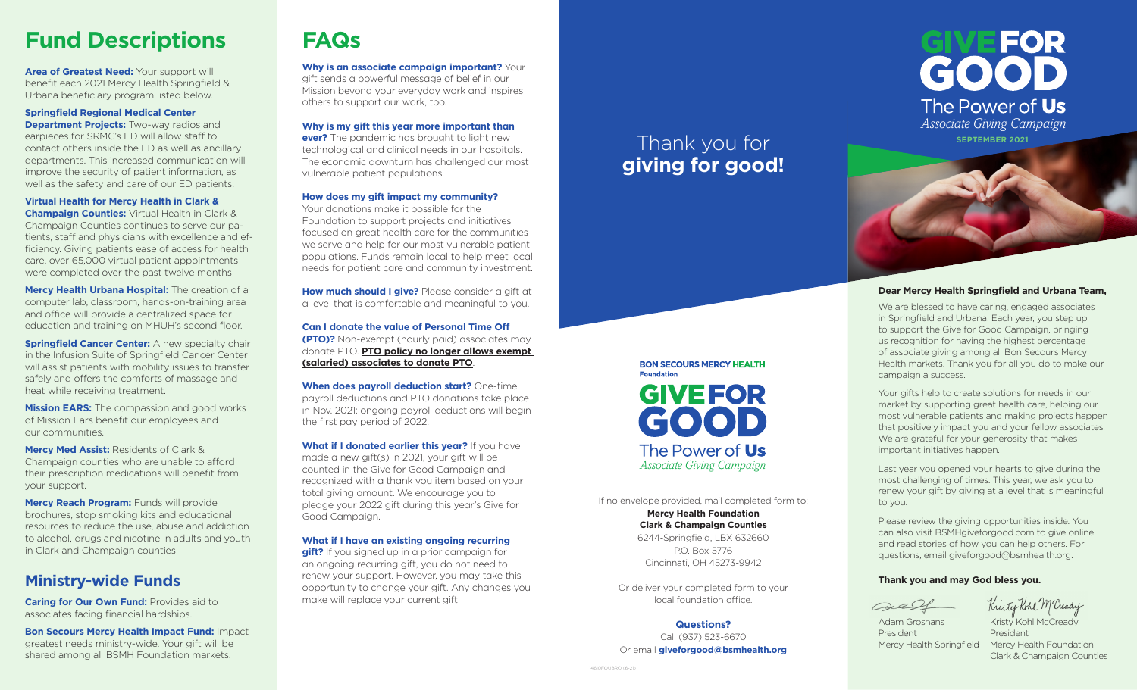# **Fund Descriptions**

**Area of Greatest Need: Your support will** benefit each 2021 Mercy Health Springfield & Urbana beneficiary program listed below.

#### **Springfield Regional Medical Center**

**Department Projects:** Two-way radios and earpieces for SRMC's ED will allow staff to contact others inside the ED as well as ancillary departments. This increased communication will improve the security of patient information, as well as the safety and care of our ED patients.

#### **Virtual Health for Mercy Health in Clark &**

**Champaign Counties:** Virtual Health in Clark & Champaign Counties continues to serve our patients, staff and physicians with excellence and efficiency. Giving patients ease of access for health care, over 65,000 virtual patient appointments were completed over the past twelve months.

**Mercy Health Urbana Hospital:** The creation of a computer lab, classroom, hands-on-training area and office will provide a centralized space for education and training on MHUH's second floor.

**Springfield Cancer Center:** A new specialty chair in the Infusion Suite of Springfield Cancer Center will assist patients with mobility issues to transfer safely and offers the comforts of massage and heat while receiving treatment.

**Mission EARS:** The compassion and good works of Mission Ears benefit our employees and our communities.

**Mercy Med Assist:** Residents of Clark & Champaign counties who are unable to afford their prescription medications will benefit from your support.

**Mercy Reach Program:** Funds will provide brochures, stop smoking kits and educational resources to reduce the use, abuse and addiction to alcohol, drugs and nicotine in adults and youth in Clark and Champaign counties.

# **Ministry-wide Funds**

**Caring for Our Own Fund:** Provides aid to associates facing financial hardships.

**Bon Secours Mercy Health Impact Fund:** Impact greatest needs ministry-wide. Your gift will be shared among all BSMH Foundation markets.

# **FAQs**

**Why is an associate campaign important?** Your gift sends a powerful message of belief in our Mission beyond your everyday work and inspires others to support our work, too.

**Why is my gift this year more important than ever?** The pandemic has brought to light new technological and clinical needs in our hospitals. The economic downturn has challenged our most vulnerable patient populations.

#### **How does my gift impact my community?**

Your donations make it possible for the Foundation to support projects and initiatives focused on great health care for the communities we serve and help for our most vulnerable patient populations. Funds remain local to help meet local needs for patient care and community investment.

**How much should I give?** Please consider a gift at a level that is comfortable and meaningful to you.

**Can I donate the value of Personal Time Off (PTO)?** Non-exempt (hourly paid) associates may donate PTO. **PTO policy no longer allows exempt (salaried) associates to donate PTO**.

**When does payroll deduction start?** One-time payroll deductions and PTO donations take place in Nov. 2021; ongoing payroll deductions will begin the first pay period of 2022.

**What if I donated earlier this year?** If you have made a new gift(s) in 2021, your gift will be counted in the Give for Good Campaign and recognized with a thank you item based on your total giving amount. We encourage you to pledge your 2022 gift during this year's Give for Good Campaign.

**What if I have an existing ongoing recurring gift?** If you signed up in a prior campaign for an ongoing recurring gift, you do not need to renew your support. However, you may take this opportunity to change your gift. Any changes you make will replace your current gift.

# Thank you for **giving for good!**



## **BON SECOURS MERCY HEALTH Foundation GIVEFOR** GOOD The Power of Us *Associate Giving Campaign*

If no envelope provided, mail completed form to: **Mercy Health Foundation Clark & Champaign Counties**  6244-Springfield, LBX 632660 P.O. Box 5776 Cincinnati, OH 45273-9942

Or deliver your completed form to your local foundation office.

**Questions?** Call (937) 523-6670 Or email **giveforgood@bsmhealth.org**

#### **Dear Mercy Health Springfield and Urbana Team,**

We are blessed to have caring, engaged associates in Springfield and Urbana. Each year, you step up to support the Give for Good Campaign, bringing us recognition for having the highest percentage of associate giving among all Bon Secours Mercy Health markets. Thank you for all you do to make our campaign a success.

Your gifts help to create solutions for needs in our market by supporting great health care, helping our most vulnerable patients and making projects happen that positively impact you and your fellow associates. We are grateful for your generosity that makes important initiatives happen.

Last year you opened your hearts to give during the most challenging of times. This year, we ask you to renew your gift by giving at a level that is meaningful to you.

Please review the giving opportunities inside. You can also visit BSMHgiveforgood.com to give online and read stories of how you can help others. For questions, email giveforgood@bsmhealth.org.

#### **Thank you and may God bless you.**



Kristy Kohl McCready

President President

Adam Groshans Kristy Kohl McCready Mercy Health Springfield Mercy Health Foundation Clark & Champaign Counties